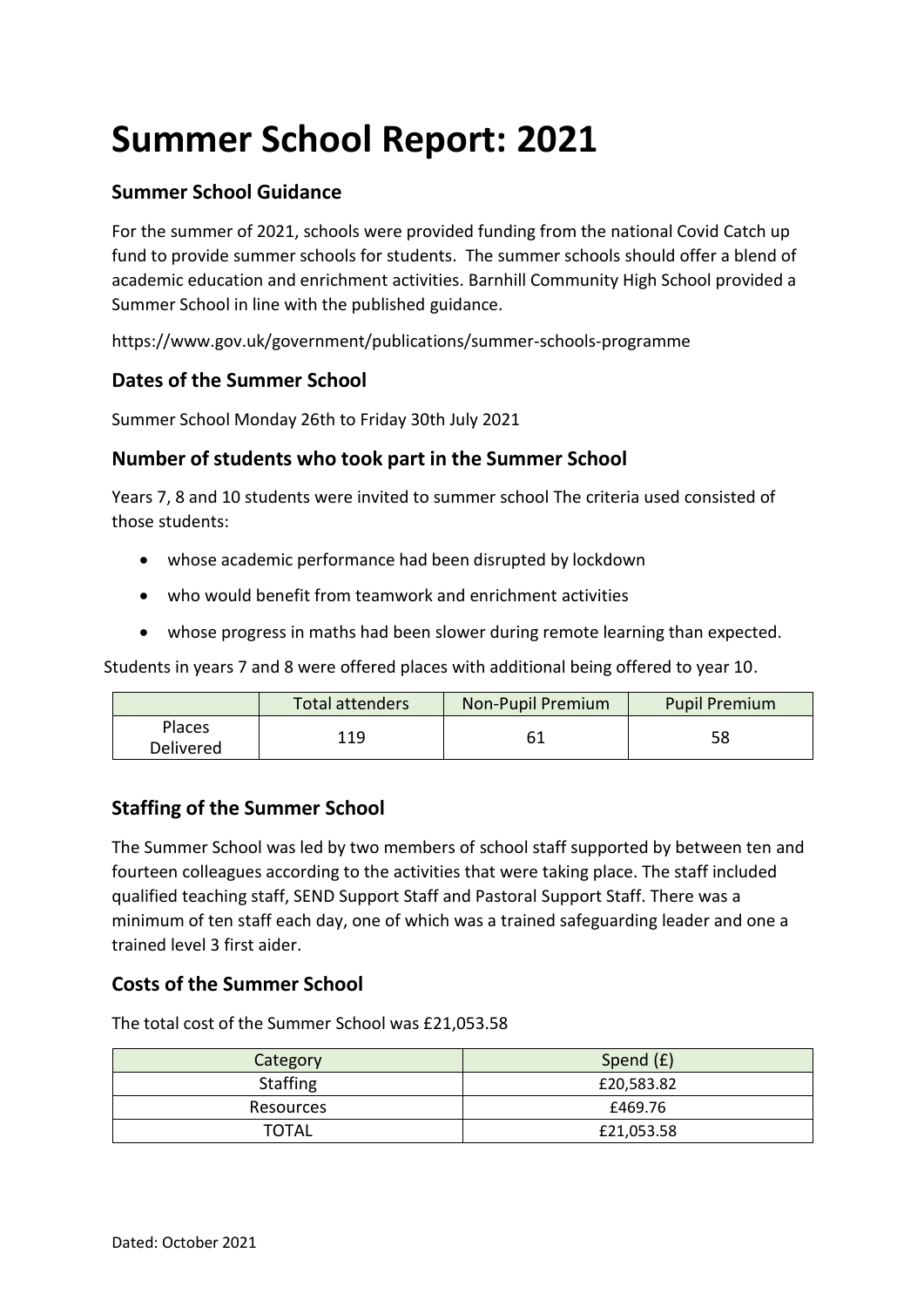# **Summer School Report: 2021**

## **Summer School Guidance**

For the summer of 2021, schools were provided funding from the national Covid Catch up fund to provide summer schools for students. The summer schools should offer a blend of academic education and enrichment activities. Barnhill Community High School provided a Summer School in line with the published guidance.

https:/[/www.gov.uk/government/publications/summer-schools-programme](http://www.gov.uk/government/publications/summer-schools-programme)

### **Dates of the Summer School**

Summer School Monday 26th to Friday 30th July 2021

### **Number of students who took part in the Summer School**

Years 7, 8 and 10 students were invited to summer school The criteria used consisted of those students:

- whose academic performance had been disrupted by lockdown
- who would benefit from teamwork and enrichment activities
- whose progress in maths had been slower during remote learning than expected.

Students in years 7 and 8 were offered places with additional being offered to year 10.

|                     | Total attenders | <b>Non-Pupil Premium</b> | <b>Pupil Premium</b> |
|---------------------|-----------------|--------------------------|----------------------|
| Places<br>Delivered | 119             |                          | 58                   |

#### **Staffing of the Summer School**

The Summer School was led by two members of school staff supported by between ten and fourteen colleagues according to the activities that were taking place. The staff included qualified teaching staff, SEND Support Staff and Pastoral Support Staff. There was a minimum of ten staff each day, one of which was a trained safeguarding leader and one a trained level 3 first aider.

#### **Costs of the Summer School**

The total cost of the Summer School was £21,053.58

| Category        | Spend (£)  |
|-----------------|------------|
| <b>Staffing</b> | £20,583.82 |
| Resources       | £469.76    |
| TOTAL           | £21,053.58 |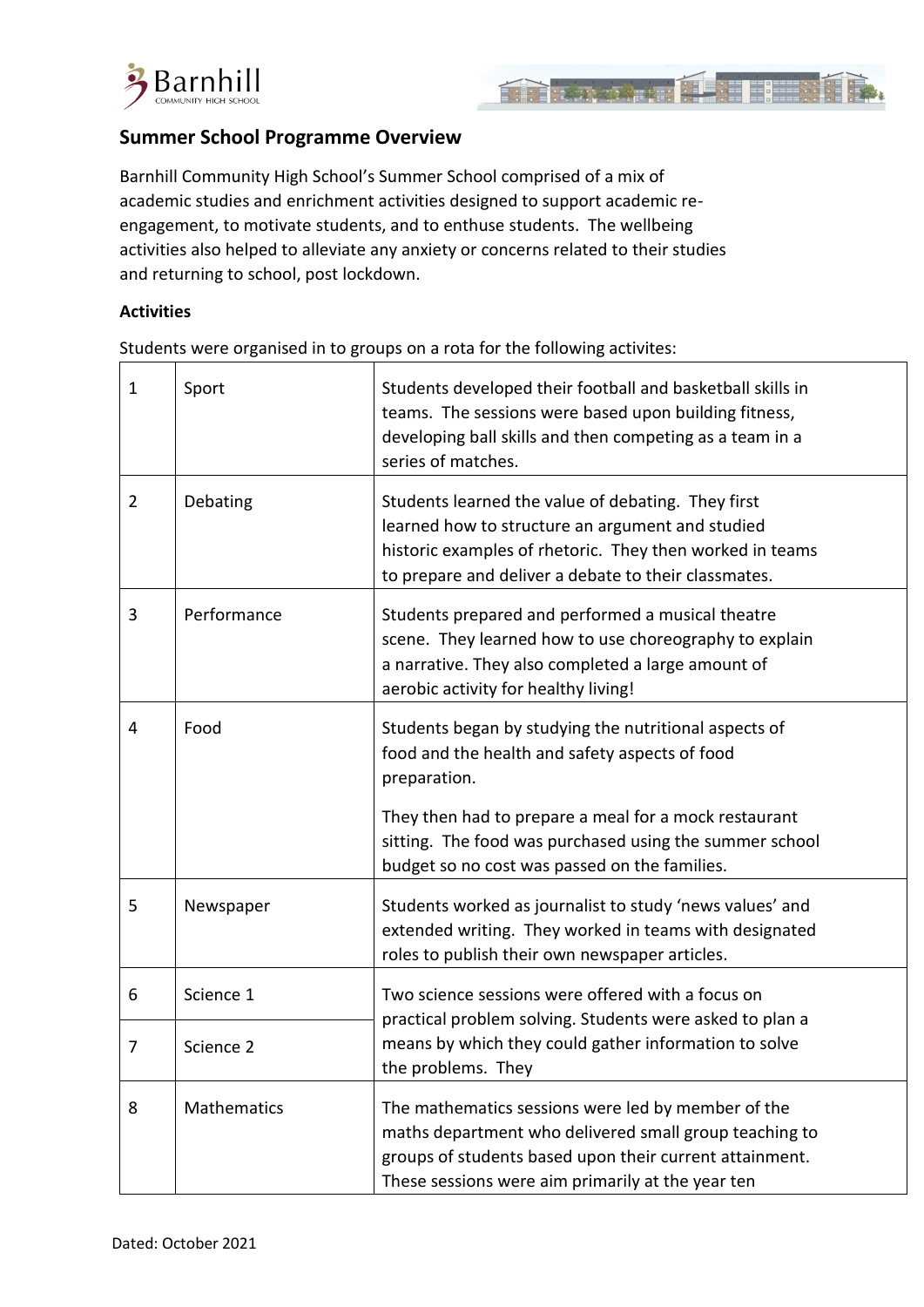



#### **Summer School Programme Overview**

Barnhill Community High School's Summer School comprised of a mix of academic studies and enrichment activities designed to support academic reengagement, to motivate students, and to enthuse students. The wellbeing activities also helped to alleviate any anxiety or concerns related to their studies and returning to school, post lockdown.

#### **Activities**

Students were organised in to groups on a rota for the following activites:

| $\mathbf{1}$   | Sport       | Students developed their football and basketball skills in<br>teams. The sessions were based upon building fitness,<br>developing ball skills and then competing as a team in a<br>series of matches.                                                                                        |
|----------------|-------------|----------------------------------------------------------------------------------------------------------------------------------------------------------------------------------------------------------------------------------------------------------------------------------------------|
| $\overline{2}$ | Debating    | Students learned the value of debating. They first<br>learned how to structure an argument and studied<br>historic examples of rhetoric. They then worked in teams<br>to prepare and deliver a debate to their classmates.                                                                   |
| 3              | Performance | Students prepared and performed a musical theatre<br>scene. They learned how to use choreography to explain<br>a narrative. They also completed a large amount of<br>aerobic activity for healthy living!                                                                                    |
| 4              | Food        | Students began by studying the nutritional aspects of<br>food and the health and safety aspects of food<br>preparation.<br>They then had to prepare a meal for a mock restaurant<br>sitting. The food was purchased using the summer school<br>budget so no cost was passed on the families. |
| 5              | Newspaper   | Students worked as journalist to study 'news values' and<br>extended writing. They worked in teams with designated<br>roles to publish their own newspaper articles.                                                                                                                         |
| 6              | Science 1   | Two science sessions were offered with a focus on<br>practical problem solving. Students were asked to plan a                                                                                                                                                                                |
| 7              | Science 2   | means by which they could gather information to solve<br>the problems. They                                                                                                                                                                                                                  |
| 8              | Mathematics | The mathematics sessions were led by member of the<br>maths department who delivered small group teaching to<br>groups of students based upon their current attainment.<br>These sessions were aim primarily at the year ten                                                                 |